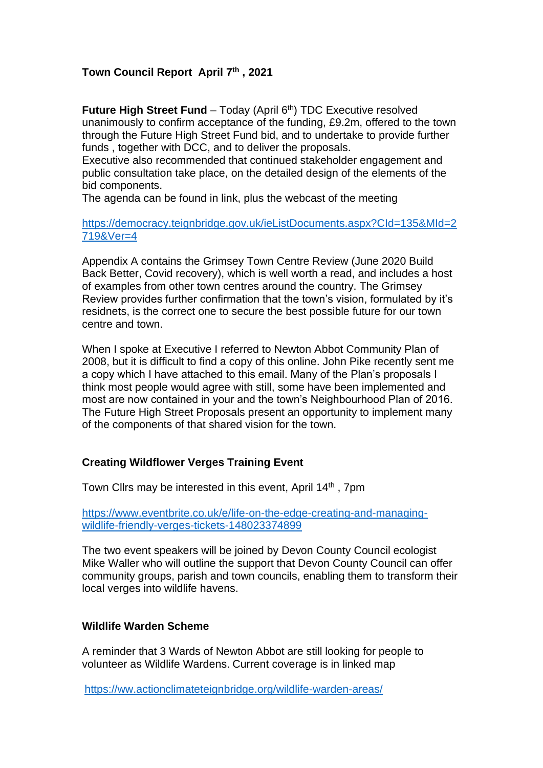# **Town Council Report April 7th , 2021**

**Future High Street Fund** – Today (April 6<sup>th</sup>) TDC Executive resolved unanimously to confirm acceptance of the funding, £9.2m, offered to the town through the Future High Street Fund bid, and to undertake to provide further funds , together with DCC, and to deliver the proposals.

Executive also recommended that continued stakeholder engagement and public consultation take place, on the detailed design of the elements of the bid components.

The agenda can be found in link, plus the webcast of the meeting

[https://democracy.teignbridge.gov.uk/ieListDocuments.aspx?CId=135&MId=2](https://democracy.teignbridge.gov.uk/ieListDocuments.aspx?CId=135&MId=2719&Ver=4) [719&Ver=4](https://democracy.teignbridge.gov.uk/ieListDocuments.aspx?CId=135&MId=2719&Ver=4)

Appendix A contains the Grimsey Town Centre Review (June 2020 Build Back Better, Covid recovery), which is well worth a read, and includes a host of examples from other town centres around the country. The Grimsey Review provides further confirmation that the town's vision, formulated by it's residnets, is the correct one to secure the best possible future for our town centre and town.

When I spoke at Executive I referred to Newton Abbot Community Plan of 2008, but it is difficult to find a copy of this online. John Pike recently sent me a copy which I have attached to this email. Many of the Plan's proposals I think most people would agree with still, some have been implemented and most are now contained in your and the town's Neighbourhood Plan of 2016. The Future High Street Proposals present an opportunity to implement many of the components of that shared vision for the town.

### **Creating Wildflower Verges Training Event**

Town Clirs may be interested in this event, April 14<sup>th</sup>, 7pm

[https://www.eventbrite.co.uk/e/life-on-the-edge-creating-and-managing](https://www.eventbrite.co.uk/e/life-on-the-edge-creating-and-managing-wildlife-friendly-verges-tickets-148023374899)[wildlife-friendly-verges-tickets-148023374899](https://www.eventbrite.co.uk/e/life-on-the-edge-creating-and-managing-wildlife-friendly-verges-tickets-148023374899)

The two event speakers will be joined by Devon County Council ecologist Mike Waller who will outline the support that Devon County Council can offer community groups, parish and town councils, enabling them to transform their local verges into wildlife havens.

### **Wildlife Warden Scheme**

A reminder that 3 Wards of Newton Abbot are still looking for people to volunteer as Wildlife Wardens. Current coverage is in linked map

<https://ww.actionclimateteignbridge.org/wildlife-warden-areas/>